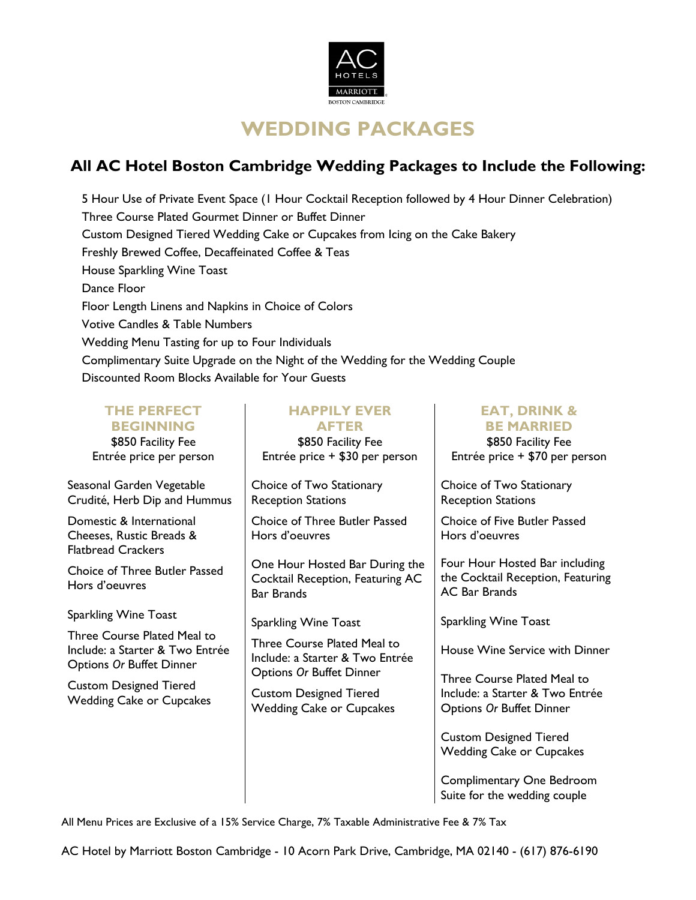

# **WEDDING PACKAGES**

## **All AC Hotel Boston Cambridge Wedding Packages to Include the Following:**

5 Hour Use of Private Event Space (1 Hour Cocktail Reception followed by 4 Hour Dinner Celebration) Three Course Plated Gourmet Dinner or Buffet Dinner Custom Designed Tiered Wedding Cake or Cupcakes from Icing on the Cake Bakery Freshly Brewed Coffee, Decaffeinated Coffee & Teas House Sparkling Wine Toast Dance Floor Floor Length Linens and Napkins in Choice of Colors Votive Candles & Table Numbers Wedding Menu Tasting for up to Four Individuals Complimentary Suite Upgrade on the Night of the Wedding for the Wedding Couple Discounted Room Blocks Available for Your Guests

| <b>THE PERFECT</b><br><b>BEGINNING</b><br>\$850 Facility Fee<br>Entrée price per person    | <b>HAPPILY EVER</b><br><b>AFTER</b><br>\$850 Facility Fee<br>Entrée price + \$30 per person       | <b>EAT, DRINK &amp;</b><br><b>BE MARRIED</b><br>\$850 Facility Fee<br>Entrée price + \$70 per person |
|--------------------------------------------------------------------------------------------|---------------------------------------------------------------------------------------------------|------------------------------------------------------------------------------------------------------|
| Seasonal Garden Vegetable<br>Crudité, Herb Dip and Hummus                                  | Choice of Two Stationary<br><b>Reception Stations</b>                                             | Choice of Two Stationary<br><b>Reception Stations</b>                                                |
| Domestic & International<br>Cheeses, Rustic Breads &<br><b>Flatbread Crackers</b>          | Choice of Three Butler Passed<br>Hors d'oeuvres                                                   | Choice of Five Butler Passed<br>Hors d'oeuvres                                                       |
| <b>Choice of Three Butler Passed</b><br>Hors d'oeuvres                                     | One Hour Hosted Bar During the<br>Cocktail Reception, Featuring AC<br><b>Bar Brands</b>           | Four Hour Hosted Bar including<br>the Cocktail Reception, Featuring<br><b>AC Bar Brands</b>          |
| Sparkling Wine Toast                                                                       | <b>Sparkling Wine Toast</b>                                                                       | <b>Sparkling Wine Toast</b>                                                                          |
| Three Course Plated Meal to<br>Include: a Starter & Two Entrée<br>Options Or Buffet Dinner | Three Course Plated Meal to<br>Include: a Starter & Two Entrée<br><b>Options Or Buffet Dinner</b> | House Wine Service with Dinner                                                                       |
| <b>Custom Designed Tiered</b><br><b>Wedding Cake or Cupcakes</b>                           | <b>Custom Designed Tiered</b><br><b>Wedding Cake or Cupcakes</b>                                  | Three Course Plated Meal to<br>Include: a Starter & Two Entrée<br><b>Options Or Buffet Dinner</b>    |
|                                                                                            |                                                                                                   | <b>Custom Designed Tiered</b><br><b>Wedding Cake or Cupcakes</b>                                     |
|                                                                                            |                                                                                                   | Complimentary One Bedroom<br>Suite for the wedding couple                                            |

All Menu Prices are Exclusive of a 15% Service Charge, 7% Taxable Administrative Fee & 7% Tax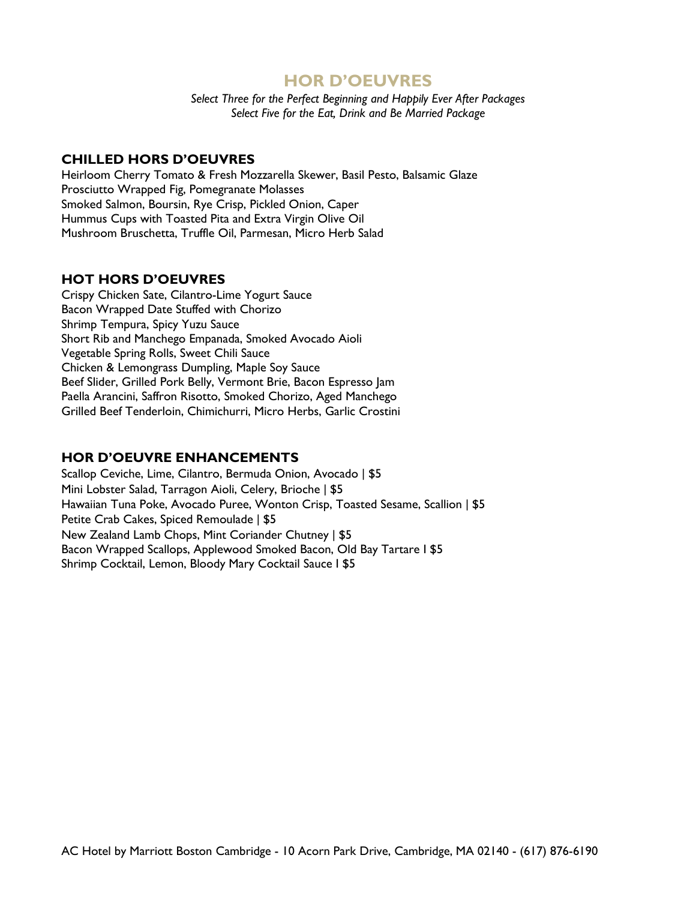## **HOR D'OEUVRES**

*Select Three for the Perfect Beginning and Happily Ever After Packages Select Five for the Eat, Drink and Be Married Package*

## **CHILLED HORS D'OEUVRES**

Heirloom Cherry Tomato & Fresh Mozzarella Skewer, Basil Pesto, Balsamic Glaze Prosciutto Wrapped Fig, Pomegranate Molasses Smoked Salmon, Boursin, Rye Crisp, Pickled Onion, Caper Hummus Cups with Toasted Pita and Extra Virgin Olive Oil Mushroom Bruschetta, Truffle Oil, Parmesan, Micro Herb Salad

## **HOT HORS D'OEUVRES**

Crispy Chicken Sate, Cilantro-Lime Yogurt Sauce Bacon Wrapped Date Stuffed with Chorizo Shrimp Tempura, Spicy Yuzu Sauce Short Rib and Manchego Empanada, Smoked Avocado Aioli Vegetable Spring Rolls, Sweet Chili Sauce Chicken & Lemongrass Dumpling, Maple Soy Sauce Beef Slider, Grilled Pork Belly, Vermont Brie, Bacon Espresso Jam Paella Arancini, Saffron Risotto, Smoked Chorizo, Aged Manchego Grilled Beef Tenderloin, Chimichurri, Micro Herbs, Garlic Crostini

## **HOR D'OEUVRE ENHANCEMENTS**

Scallop Ceviche, Lime, Cilantro, Bermuda Onion, Avocado | \$5 Mini Lobster Salad, Tarragon Aioli, Celery, Brioche | \$5 Hawaiian Tuna Poke, Avocado Puree, Wonton Crisp, Toasted Sesame, Scallion | \$5 Petite Crab Cakes, Spiced Remoulade ǀ \$5 New Zealand Lamb Chops, Mint Coriander Chutney ǀ \$5 Bacon Wrapped Scallops, Applewood Smoked Bacon, Old Bay Tartare I \$5 Shrimp Cocktail, Lemon, Bloody Mary Cocktail Sauce I \$5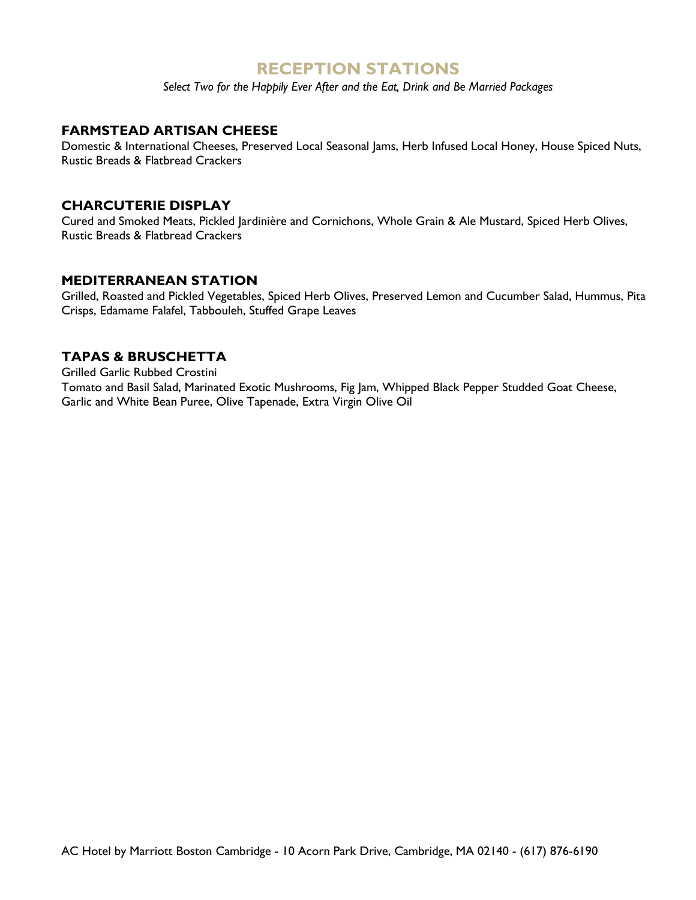## **RECEPTION STATIONS**

*Select Two for the Happily Ever After and the Eat, Drink and Be Married Packages*

## **FARMSTEAD ARTISAN CHEESE**

Domestic & International Cheeses, Preserved Local Seasonal Jams, Herb Infused Local Honey, House Spiced Nuts, Rustic Breads & Flatbread Crackers

## **CHARCUTERIE DISPLAY**

Cured and Smoked Meats, Pickled Jardinière and Cornichons, Whole Grain & Ale Mustard, Spiced Herb Olives, Rustic Breads & Flatbread Crackers

## **MEDITERRANEAN STATION**

Grilled, Roasted and Pickled Vegetables, Spiced Herb Olives, Preserved Lemon and Cucumber Salad, Hummus, Pita Crisps, Edamame Falafel, Tabbouleh, Stuffed Grape Leaves

## **TAPAS & BRUSCHETTA**

Grilled Garlic Rubbed Crostini

Tomato and Basil Salad, Marinated Exotic Mushrooms, Fig Jam, Whipped Black Pepper Studded Goat Cheese, Garlic and White Bean Puree, Olive Tapenade, Extra Virgin Olive Oil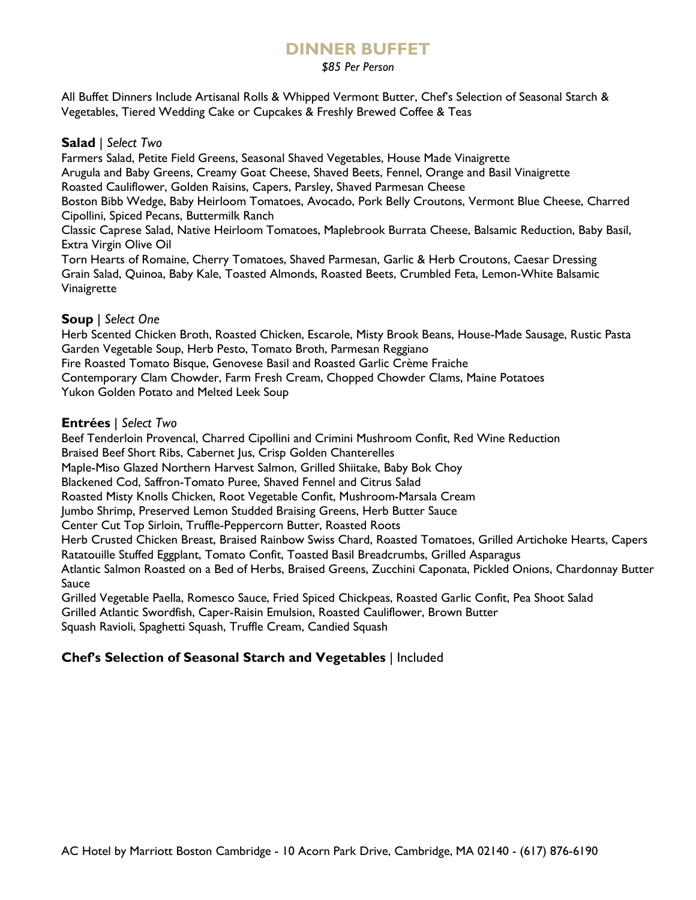## **DINNER BUFFET**

### *\$85 Per Person*

All Buffet Dinners Include Artisanal Rolls & Whipped Vermont Butter, Chef's Selection of Seasonal Starch & Vegetables, Tiered Wedding Cake or Cupcakes & Freshly Brewed Coffee & Teas

### **Salad** | *Select Two*

Farmers Salad, Petite Field Greens, Seasonal Shaved Vegetables, House Made Vinaigrette Arugula and Baby Greens, Creamy Goat Cheese, Shaved Beets, Fennel, Orange and Basil Vinaigrette Roasted Cauliflower, Golden Raisins, Capers, Parsley, Shaved Parmesan Cheese Boston Bibb Wedge, Baby Heirloom Tomatoes, Avocado, Pork Belly Croutons, Vermont Blue Cheese, Charred Cipollini, Spiced Pecans, Buttermilk Ranch Classic Caprese Salad, Native Heirloom Tomatoes, Maplebrook Burrata Cheese, Balsamic Reduction, Baby Basil, Extra Virgin Olive Oil Torn Hearts of Romaine, Cherry Tomatoes, Shaved Parmesan, Garlic & Herb Croutons, Caesar Dressing Grain Salad, Quinoa, Baby Kale, Toasted Almonds, Roasted Beets, Crumbled Feta, Lemon-White Balsamic Vinaigrette

## **Soup** | *Select One*

Herb Scented Chicken Broth, Roasted Chicken, Escarole, Misty Brook Beans, House-Made Sausage, Rustic Pasta Garden Vegetable Soup, Herb Pesto, Tomato Broth, Parmesan Reggiano Fire Roasted Tomato Bisque, Genovese Basil and Roasted Garlic Crème Fraiche Contemporary Clam Chowder, Farm Fresh Cream, Chopped Chowder Clams, Maine Potatoes Yukon Golden Potato and Melted Leek Soup

### **Entrées** | *Select Two*

Beef Tenderloin Provencal, Charred Cipollini and Crimini Mushroom Confit, Red Wine Reduction Braised Beef Short Ribs, Cabernet Jus, Crisp Golden Chanterelles Maple-Miso Glazed Northern Harvest Salmon, Grilled Shiitake, Baby Bok Choy Blackened Cod, Saffron-Tomato Puree, Shaved Fennel and Citrus Salad Roasted Misty Knolls Chicken, Root Vegetable Confit, Mushroom-Marsala Cream Jumbo Shrimp, Preserved Lemon Studded Braising Greens, Herb Butter Sauce Center Cut Top Sirloin, Truffle-Peppercorn Butter, Roasted Roots Herb Crusted Chicken Breast, Braised Rainbow Swiss Chard, Roasted Tomatoes, Grilled Artichoke Hearts, Capers Ratatouille Stuffed Eggplant, Tomato Confit, Toasted Basil Breadcrumbs, Grilled Asparagus Atlantic Salmon Roasted on a Bed of Herbs, Braised Greens, Zucchini Caponata, Pickled Onions, Chardonnay Butter Sauce Grilled Vegetable Paella, Romesco Sauce, Fried Spiced Chickpeas, Roasted Garlic Confit, Pea Shoot Salad

Grilled Atlantic Swordfish, Caper-Raisin Emulsion, Roasted Cauliflower, Brown Butter Squash Ravioli, Spaghetti Squash, Truffle Cream, Candied Squash

## **Chef's Selection of Seasonal Starch and Vegetables** | Included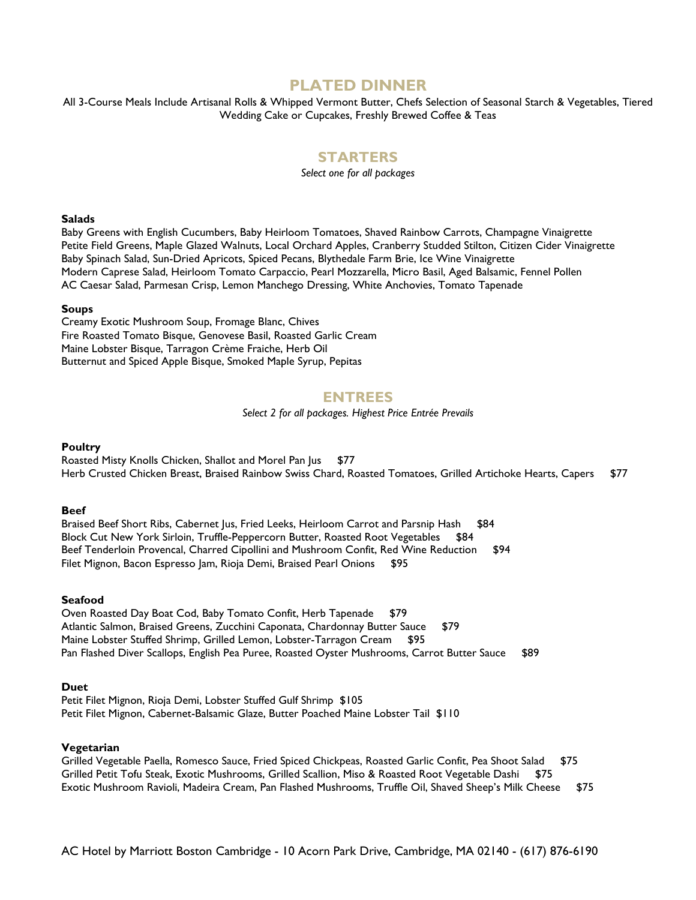## **PLATED DINNER**

All 3-Course Meals Include Artisanal Rolls & Whipped Vermont Butter, Chefs Selection of Seasonal Starch & Vegetables, Tiered Wedding Cake or Cupcakes, Freshly Brewed Coffee & Teas

## **STARTERS**

*Select one for all packages*

#### **Salads**

Baby Greens with English Cucumbers, Baby Heirloom Tomatoes, Shaved Rainbow Carrots, Champagne Vinaigrette Petite Field Greens, Maple Glazed Walnuts, Local Orchard Apples, Cranberry Studded Stilton, Citizen Cider Vinaigrette Baby Spinach Salad, Sun-Dried Apricots, Spiced Pecans, Blythedale Farm Brie, Ice Wine Vinaigrette Modern Caprese Salad, Heirloom Tomato Carpaccio, Pearl Mozzarella, Micro Basil, Aged Balsamic, Fennel Pollen AC Caesar Salad, Parmesan Crisp, Lemon Manchego Dressing, White Anchovies, Tomato Tapenade

#### **Soups**

Creamy Exotic Mushroom Soup, Fromage Blanc, Chives Fire Roasted Tomato Bisque, Genovese Basil, Roasted Garlic Cream Maine Lobster Bisque, Tarragon Crème Fraiche, Herb Oil Butternut and Spiced Apple Bisque, Smoked Maple Syrup, Pepitas

### **ENTREES**

*Select 2 for all packages. Highest Price Entrée Prevails*

#### **Poultry**

Roasted Misty Knolls Chicken, Shallot and Morel Pan Jus \$77 Herb Crusted Chicken Breast, Braised Rainbow Swiss Chard, Roasted Tomatoes, Grilled Artichoke Hearts, Capers \$77

#### **Beef**

Braised Beef Short Ribs, Cabernet Jus, Fried Leeks, Heirloom Carrot and Parsnip Hash \$84 Block Cut New York Sirloin, Truffle-Peppercorn Butter, Roasted Root Vegetables \$84 Beef Tenderloin Provencal, Charred Cipollini and Mushroom Confit, Red Wine Reduction \$94 Filet Mignon, Bacon Espresso Jam, Rioja Demi, Braised Pearl Onions \$95

#### **Seafood**

Oven Roasted Day Boat Cod, Baby Tomato Confit, Herb Tapenade \$79 Atlantic Salmon, Braised Greens, Zucchini Caponata, Chardonnay Butter Sauce \$79 Maine Lobster Stuffed Shrimp, Grilled Lemon, Lobster-Tarragon Cream \$95 Pan Flashed Diver Scallops, English Pea Puree, Roasted Oyster Mushrooms, Carrot Butter Sauce \$89

#### **Duet**

Petit Filet Mignon, Rioja Demi, Lobster Stuffed Gulf Shrimp \$105 Petit Filet Mignon, Cabernet-Balsamic Glaze, Butter Poached Maine Lobster Tail \$110

#### **Vegetarian**

Grilled Vegetable Paella, Romesco Sauce, Fried Spiced Chickpeas, Roasted Garlic Confit, Pea Shoot Salad \$75 Grilled Petit Tofu Steak, Exotic Mushrooms, Grilled Scallion, Miso & Roasted Root Vegetable Dashi \$75 Exotic Mushroom Ravioli, Madeira Cream, Pan Flashed Mushrooms, Truffle Oil, Shaved Sheep's Milk Cheese \$75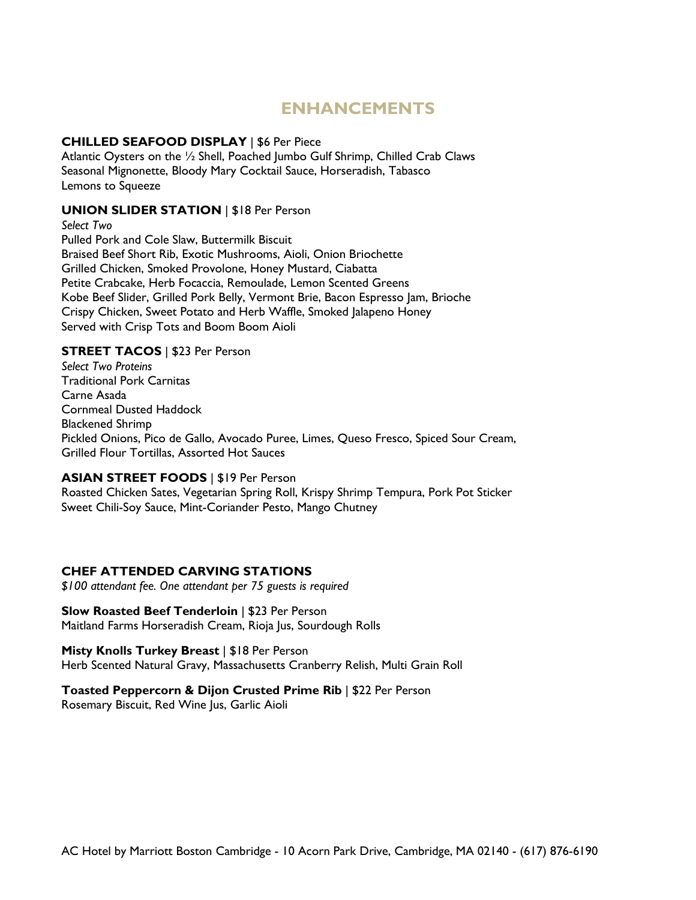## **ENHANCEMENTS**

### **CHILLED SEAFOOD DISPLAY** | \$6 Per Piece

Atlantic Oysters on the ½ Shell, Poached Jumbo Gulf Shrimp, Chilled Crab Claws Seasonal Mignonette, Bloody Mary Cocktail Sauce, Horseradish, Tabasco Lemons to Squeeze

### **UNION SLIDER STATION** | \$18 Per Person

*Select Two* Pulled Pork and Cole Slaw, Buttermilk Biscuit Braised Beef Short Rib, Exotic Mushrooms, Aioli, Onion Briochette Grilled Chicken, Smoked Provolone, Honey Mustard, Ciabatta Petite Crabcake, Herb Focaccia, Remoulade, Lemon Scented Greens Kobe Beef Slider, Grilled Pork Belly, Vermont Brie, Bacon Espresso Jam, Brioche Crispy Chicken, Sweet Potato and Herb Waffle, Smoked Jalapeno Honey Served with Crisp Tots and Boom Boom Aioli

## **STREET TACOS** | \$23 Per Person

*Select Two Proteins* Traditional Pork Carnitas Carne Asada Cornmeal Dusted Haddock Blackened Shrimp Pickled Onions, Pico de Gallo, Avocado Puree, Limes, Queso Fresco, Spiced Sour Cream, Grilled Flour Tortillas, Assorted Hot Sauces

## **ASIAN STREET FOODS** | \$19 Per Person

Roasted Chicken Sates, Vegetarian Spring Roll, Krispy Shrimp Tempura, Pork Pot Sticker Sweet Chili-Soy Sauce, Mint-Coriander Pesto, Mango Chutney

## **CHEF ATTENDED CARVING STATIONS**

*\$100 attendant fee. One attendant per 75 guests is required*

### **Slow Roasted Beef Tenderloin | \$23 Per Person**

Maitland Farms Horseradish Cream, Rioja Jus, Sourdough Rolls

### **Misty Knolls Turkey Breast** | \$18 Per Person

Herb Scented Natural Gravy, Massachusetts Cranberry Relish, Multi Grain Roll

## **Toasted Peppercorn & Dijon Crusted Prime Rib | \$22 Per Person**

Rosemary Biscuit, Red Wine Jus, Garlic Aioli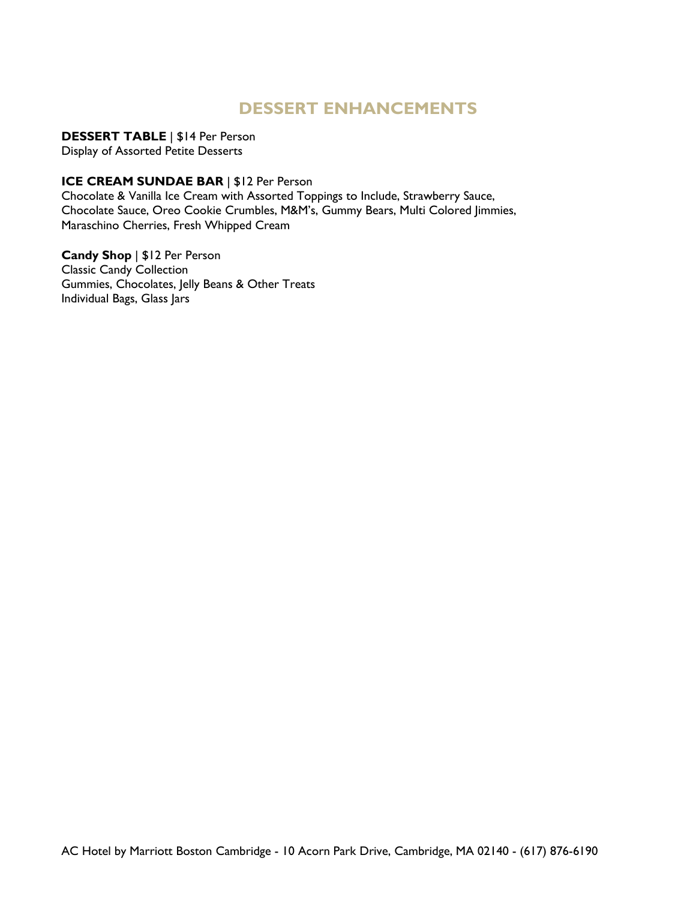## **DESSERT ENHANCEMENTS**

**DESSERT TABLE** | \$14 Per Person Display of Assorted Petite Desserts

## **ICE CREAM SUNDAE BAR** | \$12 Per Person

Chocolate & Vanilla Ice Cream with Assorted Toppings to Include, Strawberry Sauce, Chocolate Sauce, Oreo Cookie Crumbles, M&M's, Gummy Bears, Multi Colored Jimmies, Maraschino Cherries, Fresh Whipped Cream

**Candy Shop** | \$12 Per Person Classic Candy Collection Gummies, Chocolates, Jelly Beans & Other Treats Individual Bags, Glass Jars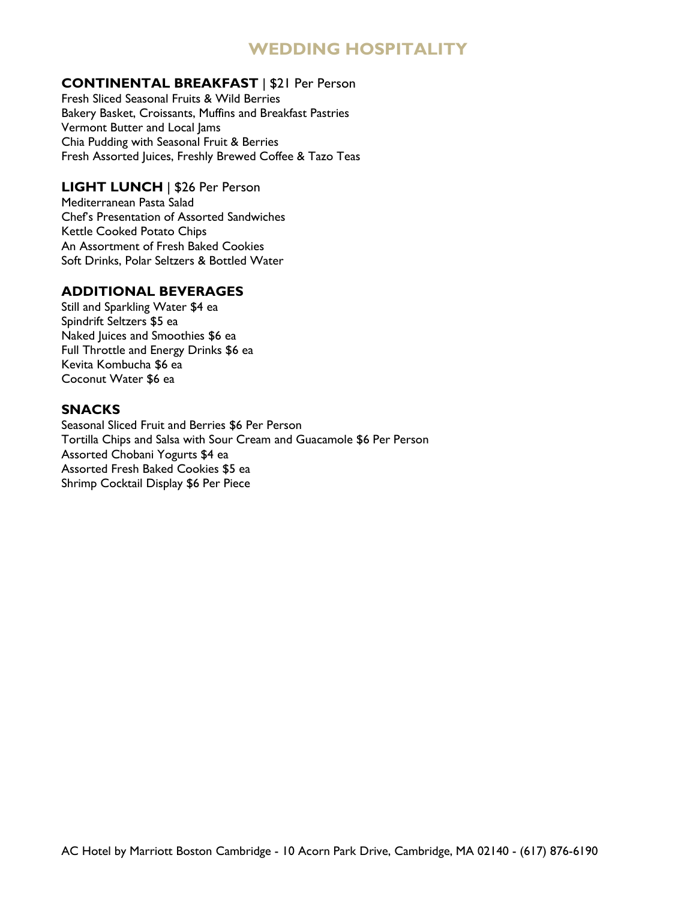## **WEDDING HOSPITALITY**

## **CONTINENTAL BREAKFAST** | \$21 Per Person

Fresh Sliced Seasonal Fruits & Wild Berries Bakery Basket, Croissants, Muffins and Breakfast Pastries Vermont Butter and Local Jams Chia Pudding with Seasonal Fruit & Berries Fresh Assorted Juices, Freshly Brewed Coffee & Tazo Teas

## **LIGHT LUNCH** | \$26 Per Person

Mediterranean Pasta Salad Chef's Presentation of Assorted Sandwiches Kettle Cooked Potato Chips An Assortment of Fresh Baked Cookies Soft Drinks, Polar Seltzers & Bottled Water

## **ADDITIONAL BEVERAGES**

Still and Sparkling Water \$4 ea Spindrift Seltzers \$5 ea Naked Juices and Smoothies \$6 ea Full Throttle and Energy Drinks \$6 ea Kevita Kombucha \$6 ea Coconut Water \$6 ea

## **SNACKS**

Seasonal Sliced Fruit and Berries \$6 Per Person Tortilla Chips and Salsa with Sour Cream and Guacamole \$6 Per Person Assorted Chobani Yogurts \$4 ea Assorted Fresh Baked Cookies \$5 ea Shrimp Cocktail Display \$6 Per Piece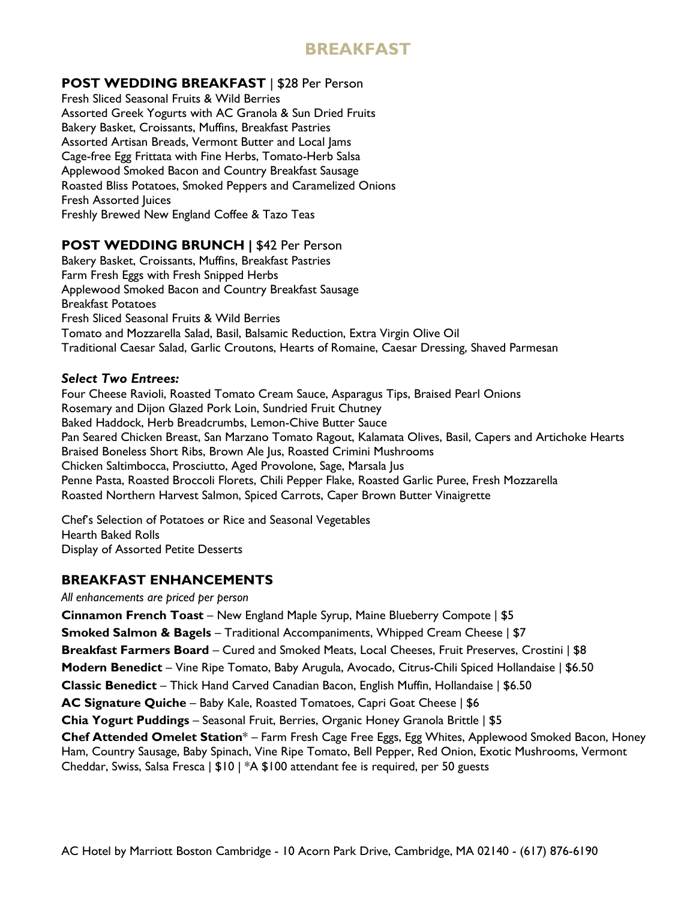## **BREAKFAST**

## **POST WEDDING BREAKFAST** | \$28 Per Person

Fresh Sliced Seasonal Fruits & Wild Berries Assorted Greek Yogurts with AC Granola & Sun Dried Fruits Bakery Basket, Croissants, Muffins, Breakfast Pastries Assorted Artisan Breads, Vermont Butter and Local Jams Cage-free Egg Frittata with Fine Herbs, Tomato-Herb Salsa Applewood Smoked Bacon and Country Breakfast Sausage Roasted Bliss Potatoes, Smoked Peppers and Caramelized Onions Fresh Assorted Juices Freshly Brewed New England Coffee & Tazo Teas

## **POST WEDDING BRUNCH |** \$42 Per Person

Bakery Basket, Croissants, Muffins, Breakfast Pastries Farm Fresh Eggs with Fresh Snipped Herbs Applewood Smoked Bacon and Country Breakfast Sausage Breakfast Potatoes Fresh Sliced Seasonal Fruits & Wild Berries Tomato and Mozzarella Salad, Basil, Balsamic Reduction, Extra Virgin Olive Oil Traditional Caesar Salad, Garlic Croutons, Hearts of Romaine, Caesar Dressing, Shaved Parmesan

## *Select Two Entrees:*

Four Cheese Ravioli, Roasted Tomato Cream Sauce, Asparagus Tips, Braised Pearl Onions Rosemary and Dijon Glazed Pork Loin, Sundried Fruit Chutney Baked Haddock, Herb Breadcrumbs, Lemon-Chive Butter Sauce Pan Seared Chicken Breast, San Marzano Tomato Ragout, Kalamata Olives, Basil, Capers and Artichoke Hearts Braised Boneless Short Ribs, Brown Ale Jus, Roasted Crimini Mushrooms Chicken Saltimbocca, Prosciutto, Aged Provolone, Sage, Marsala Jus Penne Pasta, Roasted Broccoli Florets, Chili Pepper Flake, Roasted Garlic Puree, Fresh Mozzarella Roasted Northern Harvest Salmon, Spiced Carrots, Caper Brown Butter Vinaigrette

Chef's Selection of Potatoes or Rice and Seasonal Vegetables Hearth Baked Rolls Display of Assorted Petite Desserts

## **BREAKFAST ENHANCEMENTS**

*All enhancements are priced per person*

**Cinnamon French Toast** – New England Maple Syrup, Maine Blueberry Compote ǀ \$5

**Smoked Salmon & Bagels** – Traditional Accompaniments, Whipped Cream Cheese | \$7

**Breakfast Farmers Board** – Cured and Smoked Meats, Local Cheeses, Fruit Preserves, Crostini ǀ \$8

**Modern Benedict** – Vine Ripe Tomato, Baby Arugula, Avocado, Citrus-Chili Spiced Hollandaise ǀ \$6.50

**Classic Benedict** – Thick Hand Carved Canadian Bacon, English Muffin, Hollandaise ǀ \$6.50

**AC Signature Quiche** – Baby Kale, Roasted Tomatoes, Capri Goat Cheese ǀ \$6

**Chia Yogurt Puddings** – Seasonal Fruit, Berries, Organic Honey Granola Brittle ǀ \$5

**Chef Attended Omelet Station**\* – Farm Fresh Cage Free Eggs, Egg Whites, Applewood Smoked Bacon, Honey Ham, Country Sausage, Baby Spinach, Vine Ripe Tomato, Bell Pepper, Red Onion, Exotic Mushrooms, Vermont Cheddar, Swiss, Salsa Fresca ǀ \$10 | \*A \$100 attendant fee is required, per 50 guests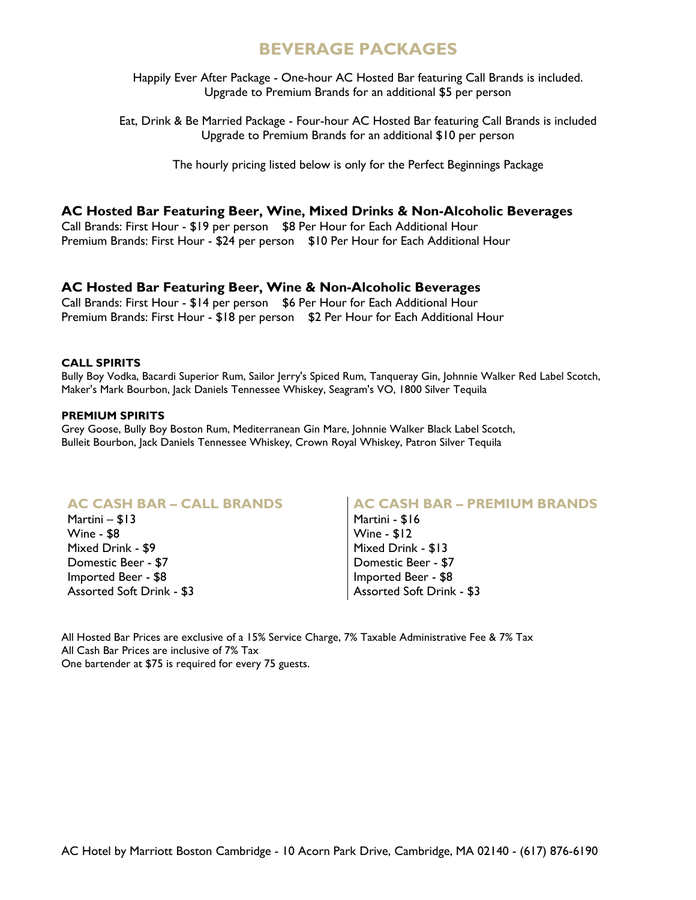## **BEVERAGE PACKAGES**

Happily Ever After Package - One-hour AC Hosted Bar featuring Call Brands is included. Upgrade to Premium Brands for an additional \$5 per person

Eat, Drink & Be Married Package - Four-hour AC Hosted Bar featuring Call Brands is included Upgrade to Premium Brands for an additional \$10 per person

The hourly pricing listed below is only for the Perfect Beginnings Package

### **AC Hosted Bar Featuring Beer, Wine, Mixed Drinks & Non-Alcoholic Beverages**

Call Brands: First Hour - \$19 per person \$8 Per Hour for Each Additional Hour Premium Brands: First Hour - \$24 per person \$10 Per Hour for Each Additional Hour

### **AC Hosted Bar Featuring Beer, Wine & Non-Alcoholic Beverages**

Call Brands: First Hour - \$14 per person \$6 Per Hour for Each Additional Hour Premium Brands: First Hour - \$18 per person \$2 Per Hour for Each Additional Hour

#### **CALL SPIRITS**

Bully Boy Vodka, Bacardi Superior Rum, Sailor Jerry's Spiced Rum, Tanqueray Gin, Johnnie Walker Red Label Scotch, Maker's Mark Bourbon, Jack Daniels Tennessee Whiskey, Seagram's VO, 1800 Silver Tequila

#### **PREMIUM SPIRITS**

Grey Goose, Bully Boy Boston Rum, Mediterranean Gin Mare, Johnnie Walker Black Label Scotch, Bulleit Bourbon, Jack Daniels Tennessee Whiskey, Crown Royal Whiskey, Patron Silver Tequila

### **AC CASH BAR – CALL BRANDS**

Martini – \$13 Wine - \$8 Mixed Drink - \$9 Domestic Beer - \$7 Imported Beer - \$8 Assorted Soft Drink - \$3

### **AC CASH BAR – PREMIUM BRANDS**

Martini - \$16 Wine - \$12 Mixed Drink - \$13 Domestic Beer - \$7 Imported Beer - \$8 Assorted Soft Drink - \$3

All Hosted Bar Prices are exclusive of a 15% Service Charge, 7% Taxable Administrative Fee & 7% Tax All Cash Bar Prices are inclusive of 7% Tax One bartender at \$75 is required for every 75 guests.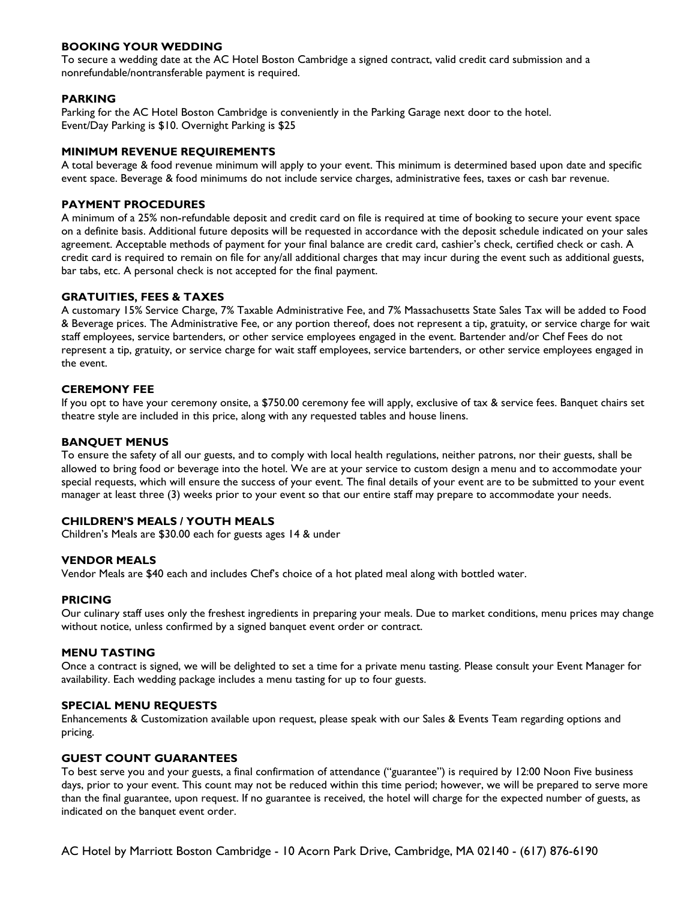#### **BOOKING YOUR WEDDING**

To secure a wedding date at the AC Hotel Boston Cambridge a signed contract, valid credit card submission and a nonrefundable/nontransferable payment is required.

#### **PARKING**

Parking for the AC Hotel Boston Cambridge is conveniently in the Parking Garage next door to the hotel. Event/Day Parking is \$10. Overnight Parking is \$25

#### **MINIMUM REVENUE REQUIREMENTS**

A total beverage & food revenue minimum will apply to your event. This minimum is determined based upon date and specific event space. Beverage & food minimums do not include service charges, administrative fees, taxes or cash bar revenue.

#### **PAYMENT PROCEDURES**

A minimum of a 25% non-refundable deposit and credit card on file is required at time of booking to secure your event space on a definite basis. Additional future deposits will be requested in accordance with the deposit schedule indicated on your sales agreement. Acceptable methods of payment for your final balance are credit card, cashier's check, certified check or cash. A credit card is required to remain on file for any/all additional charges that may incur during the event such as additional guests, bar tabs, etc. A personal check is not accepted for the final payment.

#### **GRATUITIES, FEES & TAXES**

A customary 15% Service Charge, 7% Taxable Administrative Fee, and 7% Massachusetts State Sales Tax will be added to Food & Beverage prices. The Administrative Fee, or any portion thereof, does not represent a tip, gratuity, or service charge for wait staff employees, service bartenders, or other service employees engaged in the event. Bartender and/or Chef Fees do not represent a tip, gratuity, or service charge for wait staff employees, service bartenders, or other service employees engaged in the event.

#### **CEREMONY FEE**

If you opt to have your ceremony onsite, a \$750.00 ceremony fee will apply, exclusive of tax & service fees. Banquet chairs set theatre style are included in this price, along with any requested tables and house linens.

#### **BANQUET MENUS**

To ensure the safety of all our guests, and to comply with local health regulations, neither patrons, nor their guests, shall be allowed to bring food or beverage into the hotel. We are at your service to custom design a menu and to accommodate your special requests, which will ensure the success of your event. The final details of your event are to be submitted to your event manager at least three (3) weeks prior to your event so that our entire staff may prepare to accommodate your needs.

#### **CHILDREN'S MEALS / YOUTH MEALS**

Children's Meals are \$30.00 each for guests ages 14 & under

#### **VENDOR MEALS**

Vendor Meals are \$40 each and includes Chef's choice of a hot plated meal along with bottled water.

#### **PRICING**

Our culinary staff uses only the freshest ingredients in preparing your meals. Due to market conditions, menu prices may change without notice, unless confirmed by a signed banquet event order or contract.

#### **MENU TASTING**

Once a contract is signed, we will be delighted to set a time for a private menu tasting. Please consult your Event Manager for availability. Each wedding package includes a menu tasting for up to four guests.

#### **SPECIAL MENU REQUESTS**

Enhancements & Customization available upon request, please speak with our Sales & Events Team regarding options and pricing.

#### **GUEST COUNT GUARANTEES**

To best serve you and your guests, a final confirmation of attendance ("guarantee") is required by 12:00 Noon Five business days, prior to your event. This count may not be reduced within this time period; however, we will be prepared to serve more than the final guarantee, upon request. If no guarantee is received, the hotel will charge for the expected number of guests, as indicated on the banquet event order.